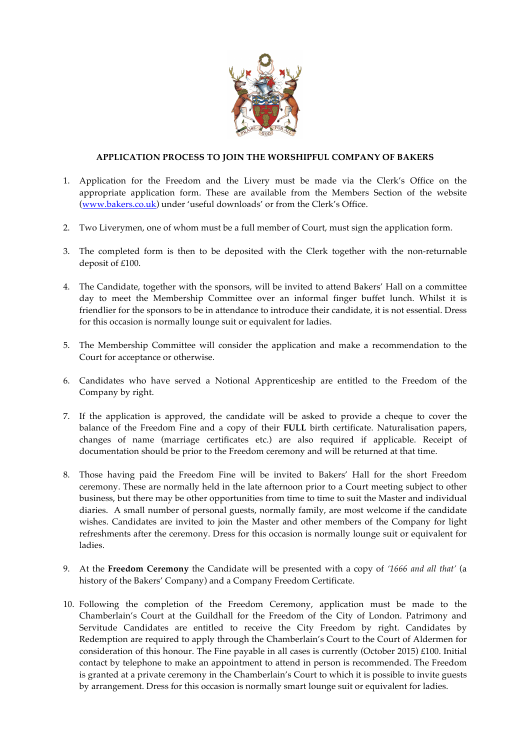

## **APPLICATION PROCESS TO JOIN THE WORSHIPFUL COMPANY OF BAKERS**

- 1. Application for the Freedom and the Livery must be made via the Clerk's Office on the appropriate application form. These are available from the Members Section of the website (www.bakers.co.uk) under 'useful downloads' or from the Clerk's Office.
- 2. Two Liverymen, one of whom must be a full member of Court, must sign the application form.
- 3. The completed form is then to be deposited with the Clerk together with the non-returnable deposit of £100.
- 4. The Candidate, together with the sponsors, will be invited to attend Bakers' Hall on a committee day to meet the Membership Committee over an informal finger buffet lunch. Whilst it is friendlier for the sponsors to be in attendance to introduce their candidate, it is not essential. Dress for this occasion is normally lounge suit or equivalent for ladies.
- 5. The Membership Committee will consider the application and make a recommendation to the Court for acceptance or otherwise.
- 6. Candidates who have served a Notional Apprenticeship are entitled to the Freedom of the Company by right.
- 7. If the application is approved, the candidate will be asked to provide a cheque to cover the balance of the Freedom Fine and a copy of their **FULL** birth certificate. Naturalisation papers, changes of name (marriage certificates etc.) are also required if applicable. Receipt of documentation should be prior to the Freedom ceremony and will be returned at that time.
- 8. Those having paid the Freedom Fine will be invited to Bakers' Hall for the short Freedom ceremony. These are normally held in the late afternoon prior to a Court meeting subject to other business, but there may be other opportunities from time to time to suit the Master and individual diaries. A small number of personal guests, normally family, are most welcome if the candidate wishes. Candidates are invited to join the Master and other members of the Company for light refreshments after the ceremony. Dress for this occasion is normally lounge suit or equivalent for ladies.
- 9. At the **Freedom Ceremony** the Candidate will be presented with a copy of *'1666 and all that'* (a history of the Bakers' Company) and a Company Freedom Certificate.
- 10. Following the completion of the Freedom Ceremony, application must be made to the Chamberlain's Court at the Guildhall for the Freedom of the City of London. Patrimony and Servitude Candidates are entitled to receive the City Freedom by right. Candidates by Redemption are required to apply through the Chamberlain's Court to the Court of Aldermen for consideration of this honour. The Fine payable in all cases is currently (October 2015) £100. Initial contact by telephone to make an appointment to attend in person is recommended. The Freedom is granted at a private ceremony in the Chamberlain's Court to which it is possible to invite guests by arrangement. Dress for this occasion is normally smart lounge suit or equivalent for ladies.